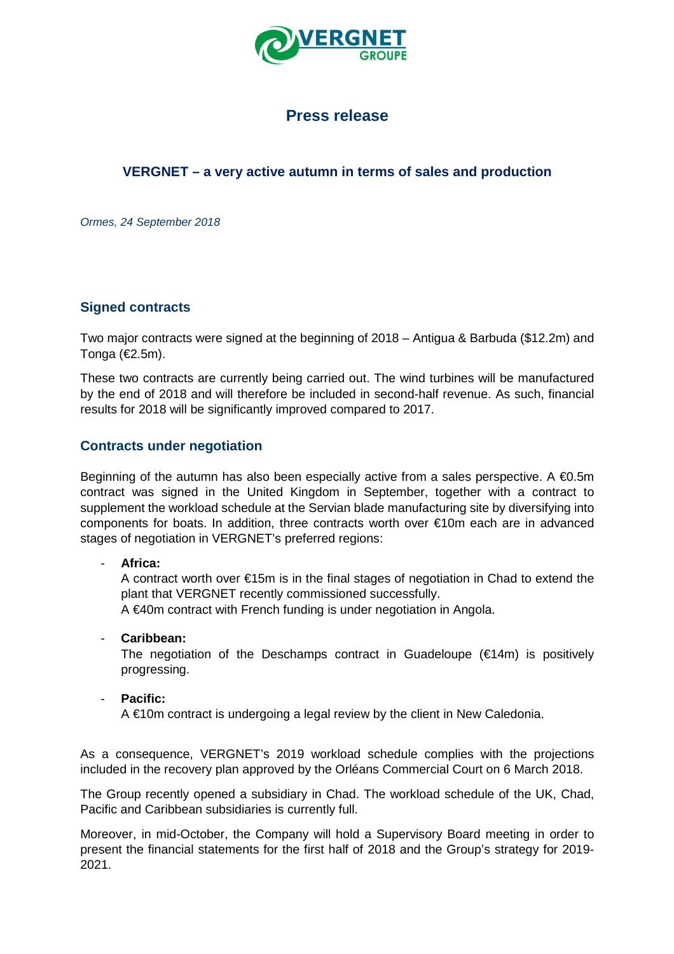

# **Press release**

# **VERGNET – a very active autumn in terms of sales and production**

Ormes, 24 September 2018

## **Signed contracts**

Two major contracts were signed at the beginning of 2018 – Antigua & Barbuda (\$12.2m) and Tonga (€2.5m).

These two contracts are currently being carried out. The wind turbines will be manufactured by the end of 2018 and will therefore be included in second-half revenue. As such, financial results for 2018 will be significantly improved compared to 2017.

## **Contracts under negotiation**

Beginning of the autumn has also been especially active from a sales perspective. A  $\epsilon$ 0.5m contract was signed in the United Kingdom in September, together with a contract to supplement the workload schedule at the Servian blade manufacturing site by diversifying into components for boats. In addition, three contracts worth over €10m each are in advanced stages of negotiation in VERGNET's preferred regions:

### - **Africa:**

A contract worth over €15m is in the final stages of negotiation in Chad to extend the plant that VERGNET recently commissioned successfully.

A €40m contract with French funding is under negotiation in Angola.

### - **Caribbean:**

The negotiation of the Deschamps contract in Guadeloupe  $(€14m)$  is positively progressing.

### - **Pacific:**

A €10m contract is undergoing a legal review by the client in New Caledonia.

As a consequence, VERGNET's 2019 workload schedule complies with the projections included in the recovery plan approved by the Orléans Commercial Court on 6 March 2018.

The Group recently opened a subsidiary in Chad. The workload schedule of the UK, Chad, Pacific and Caribbean subsidiaries is currently full.

Moreover, in mid-October, the Company will hold a Supervisory Board meeting in order to present the financial statements for the first half of 2018 and the Group's strategy for 2019- 2021.